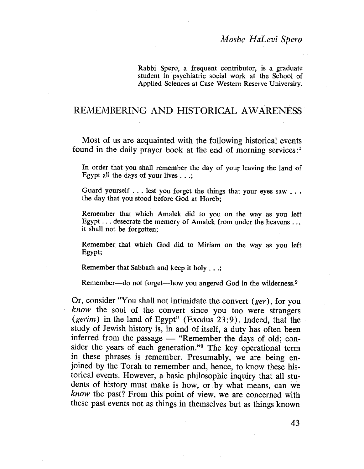Rabbi Spero, a frequent contributor, is a graduate student in psychiatric social work at the School of Applied Sciences at Case Western Reserve University.

# REMEMBERING AND HISTORICAL AWARENESS

Most of us are acquainted with the following historical events found in the daily prayer book at the end of morning services:<sup>1</sup>

In order that you shall remember the day of your leaving the land of Egypt all the days of your lives . . .;

Guard yourself . . . lest you forget the things that your eyes saw . . . the day that you stood before God at Horeb;

Remember that which Amalek did to you on the way as you left Egypt. . . desecrate the memory of Amalek from under the heavens . .. it shall not be forgotten;

Remember that which God did to Miriam on the way as you left Egypt;

Remember that Sabbath and keep it holy  $\dots;$ 

Remember-do not forget-how you angered God in the wilderness.<sup>2</sup>

Or, consider "You shall not intimidate the convert (ger), for you know the soul of the convert since you too were strangers (gerim) in the land of Egypt" (Exodus  $23:9$ ). Indeed, that the study of Jewish history is, in and of itself, a duty has often been inferred from the passage  $-$  "Remember the days of old; consider the years of each generation."3 The key operational term in these phrases is remember. Presumably, we are being enjoined by the Torah to remember and, hence, to know these historical events. However, a basic philosophic inquiry that all students of history must make is how, or by what means, can we know the past? From this point of view, we are concerned with these past events not as things in themselves but as things known

43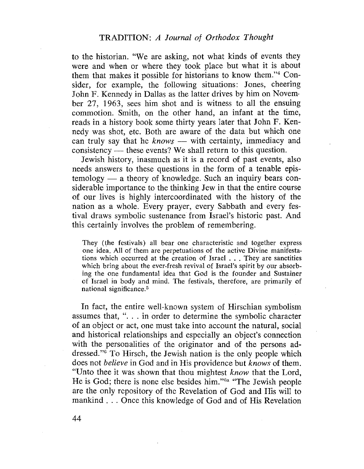to the historian. "We are asking, not what kinds of events they were and when or where they took place but what it is about them that makes it possible for historians to know them."4 Consider, for example, the following situations: Jones, cheering John F. Kennedy in Dallas as the latter drives by him on Novem. ber 27, 1963, sees him shot and is witness to all the ensuing commotion. Smith, on the other hand, an infant at the time, reads in a history book some thirty years later that John F. Kennedy was shot, etc. Both are aware of the data but which one can truly say that he  $knows$  — with certainty, immediacy and consistency — these events? We shall return to this question.

Jewish history, inasmuch as it is a record of past events, also needs answers to these questions in the form of a tenable epis $tempology - a theory of knowledge. Such an inquiry bears con$ siderable importance to the thinking Jew in that the entire course of our lives is highly intercoordinated with the history of the nation as a whole. Every prayer, every Sabbath and every festival draws symbolic sustenance from Israel's historic past. And this certainly involves the problem of remembering.

They (the festivals) all bear one characteristic and together express one idea. All of them are perpetuations of the active Divine manifestations which occurred at the creation of Israel. . . They are sanctities which bring about the ever-fresh revival of Israel's spirit by our absorbing the one fundamental idea that God is the founder and Sustainer of Israel in body and mind. The festivals, therefore, are primarily of national significance.5

In fact, the entire well-known system of Hirschian symbolism assumes that, ". . . in order to determine the symbolic character of an object or act, one must take into account the natural, social and historical relationships and especially an object's connection with the personalities of the originator and of the persons addressed. "6 To Hirsch, the Jewish nation is the only people which does not believe in God and in His providence but knows of them. "Unto thee it was shown that thou mightest know that the Lord, He is God; there is none else besides him."<sup>6a</sup> "The Jewish people are the only repository of the Revelation of God and His wil to mankind. . . Once this knowledge of God and of His Revelation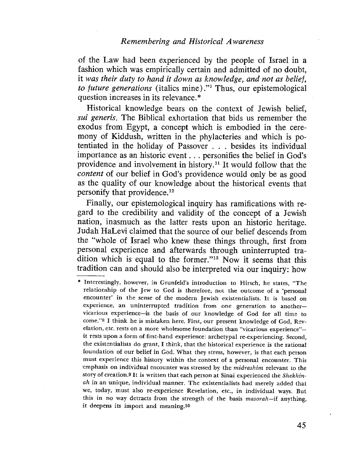of the Law had been experienced by the people of Israel in a fashion which was empirically certain and admitted of no doubt, it was their duty to hand it down as knowledge, and not as belief, to future generations (italics mine)."<sup>7</sup> Thus, our epistemological question increases in its relevance. \*

Historical knowledge bears on the context of Jewish belief, sui generis. The Biblical exhortation that bids us remember the exodus from Egypt, a concept which is embodied in the ceremony of Kiddush, written in the phylacteries and which is potentiated in the holiday of Passover . . . besides its individual importance as an historic' event. . . personifies the belief in God's providence and involvement in history. 11 It would follow that the content of our belief in God's providence would önly be as good as the quality of our knowledge about the historical events that personify that providence. 12

Finally, our epistemological inquiry has ramifications with regard to the credibility and validity of the concept of a Jewish nation, inasmuch as the latter rests upon an historic heritage. Judah HaLevi claimed that the source of our belief descends from the "whole of Israel who knew these things through, first from personal experience and afterwards through uninterrupted tradition which is equal to the former."13 Now it seems that this tradition can and should also be interpreted via our inquiry: how

<sup>\*</sup> Interestingly, however, in Grunfeld's introduction to Hirsch, he states, "The relationship of the Jew to God is therefore, not the outcome of a 'personal encounter' in the sense of the modern Jewish existentialists. It is based on experience, an uninterrupted tradition from one generation to anothervicarious experience-is the basis of our knowledge of God for all time to come."8 I think he is mistaken here. First, our present knowledge of God, Revelation, etc. rests on a more wholesome foundation than "vicarious experience"it rests upon a form of first-hand experience: archetypal re-experiencing. Second, the existentialists do grant, I think, that the historical experience is the rational foundation of our belief in God. What they stress, however, is that each person must experience this history within the context of a personal encounter. This emphasis on individual encounter was stressed by the *midrashim* relevant to the story of creation.9 It is written that each person at Sinai experienced the Shekhinah in an unique, individual manner. The existentialists had merely added that we, today, must also re-experience Revelation, etc., in individual ways. But this in no way detracts from the strength of the basis masorah-if anything, it deepens its import and meaning.10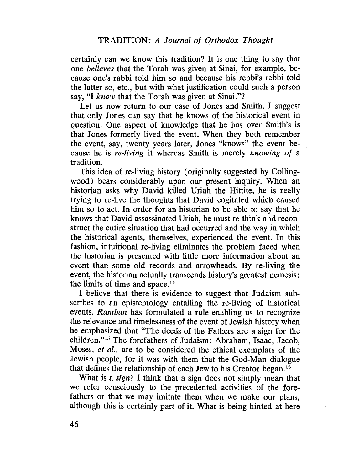certainly can we know this tradition? It is one thing to say that one believes that the Torah was given at Sinai, for example, because one's rabbi told him so and because his rebbi's rebbi told the latter so, etc., but with what justification could such a person say, "I know that the Torah was given at Sinai."?

Let us now return to our case of Jones and Smith. I suggest that only Jones can say that he knows of the historical event in question. One aspect of knowledge that he has over Smith's is that Jones formerly lived the event. When they both remember the event, say, twenty years later, Jones "knows" the event because he is re-living it whereas Smith is merely knowing of a tradition.

This idea of re-living history (originally suggested by Collingwood) bears considerably upon our present inquiry. When an historian asks why David kiled Uriah the Hittite, he is really trying to re-IIve the thoughts that David cogitated which caused him so to act. In order for an historian to be able to say that he knows that David assassinated Uriah, he must re-think and reconstruct the entire situation that had occurred and the way in which the historical agents, themselves, experienced the event. In this fashion, intuitional re-living eliminates the problem faced when the historian is presented with little more information about an event than some old records and arrowheads. By re-living the event, the historian actually transcends history's greatest nemesis: the limits of time and space.14

I believe. that there is evidence to suggest that Judaism subscribes to an epistemology entailing the re-living of historical events. Ramban has formulated a rule enabling us to recognize the relevance and timelessness of the event of Jewish history when he emphasized that "The deeds of the Fathers are a sign for the children."lã The forefathers of Judaism: Abraham, Isaac, Jacob, Moses, *et al.*, are to be considered the ethical exemplars of the Jewish people, for it was with them that the God-Man dialogue that defines the relationship of each Jew to his Creator began.<sup>16</sup>

What is a *sign*? I think that a sign does not simply mean that we refer consciously to the precedented activities of the forefathers or that we may imitate them when we make our plans, although this is certainly part of it. What is being hinted at here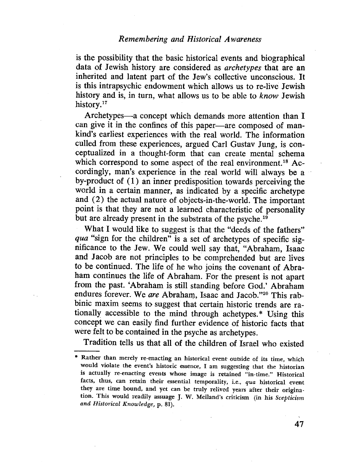is the possibilty that the basic historical events and biographical data of Jewish history are considered as archetypes that are an inherited and latent part of the Jew's collective unconscious. It is this intrapsychic endowment which allows us to re-live Jewish history and is, in turn, what allows us to be able to know Jewish history.<sup>17</sup>

Archetypes—a concept which demands more attention than I can give it in the confines of this paper—are composed of mankind's earliest experiences with the real world. The information culled from these experiences, argued Carl Gustav Jung, is conceptualized in a thought-form that can create mental schema which correspond to some aspect of the real environment.<sup>18</sup> Accordingly, man's experience in the real world will always be a by-product of (1) an inner predisposition towards perceiving the world in a certain manner, as indicated by a specific archetype and (2) the actual nature of objects-in-the-world. The important point is that they are not a learned characteristic of personality but are already present in the substrata of the psyche.19

What I would like to suggest is that the "deeds of the fathers" qua "sign for the children" is a set of archetypes of specific significance to the Jew. We could well say that, "Abraham, Isaac and Jacob are not principles to be comprehended but are lives to be continued. The life of he who joins the covenant of Abraham continues the life of Abraham. For the present is not apart from the past. 'Abraham is still standing before God.' Abraham endures forever. We are Abraham, Isaac and Jacob."20 This rabbinic maxim seems to suggest that certain historic trends are rationally accessible to the mind through achetypes. \* Using this concept we can easily find further evidence of historic facts that were felt to be contained in the psyche as archetypes.

Tradition tells us that all of the children of Israel who existed

<sup>\*</sup> Rather than merely re-enacting an historical event outside of its time, which would violate the event's historic essence, I am suggesting that the historian is actually re-enacting events whose image is retained "in-time." Historical facts, thus, can retain their essential temporality, i.e., qua historical event they are time bound, and yet can be truly relived years after their origination. This would readily assuage J. W. Meiland's criticism (in his Scepticism and Historical Knowledge, p. 81).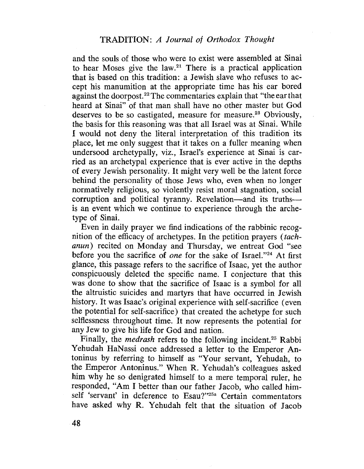and the souls of those who were to exist were assembled at Sinai to hear Moses give the law.<sup>21</sup> There is a practical application that is based on this tradition: a Jewish slave who refuses to accept his manumition at the appropriate time has his ear bored against the doorpost.22 The commentaries explain that "the ear that heard at Sinai" of that man shall have no other master but God deserves to be so castigated, measure for measure.<sup>23</sup> Obviously, the basis for this reasoning was that all Israel was at Sinai. While I would not deny the literal interpretation of this tradition its place, let me only suggest that it takes on a fuller meaning when undersood archetypally, viz., Israel's experience at Sinai is carried as an archetypal experience that is ever active in the depths of every Jewish personality. It might very well be the latent force behind the personality of those Jews who, even when no longer normatively religious, so violently resist moral stagnation, social corruption and political tyranny. Revelation-and its truthsis an event which we continue to experience through the archetype of Sinai.

Even in daily prayer we find indications of the rabbinic recognition of the efficacy of archetypes. In the petition prayers *(tach*anun) recited on Monday and Thursday, we entreat God "see before you the sacrifice of one for the sake of Israel."<sup>24</sup> At first glance, this passage refers to the sacrifice of Isaac, yet the author conspicuously deleted the specific name. I conjecture that this was done to show that the sacrifice of Isaac is a symbol for all the altruistic suicides and martyrs that have occurred in Jewish history. It was Isaac's original experience with self-sacrifice (even the potential for self-sacrifice) that created the achetype for such selflessness throughout time. It now represents the potential for any Jew to give his life for God and nation.

Finally, the *medrash* refers to the following incident.<sup>25</sup> Rabbi Yehudah HaNassi once addressed a letter to the Emperor Antoninus by referring to himself as "Your servant, Yehudah, to the Emperor Antoninus." When R. Yehudah's colleagues asked him why he so denigrated himself to a mere temporal ruler, he responded, "Am I better than our father Jacob, who called himself 'servant' in deference to Esau?"25a Certain commentators have asked why R. Yehudah felt that the situation of Jacob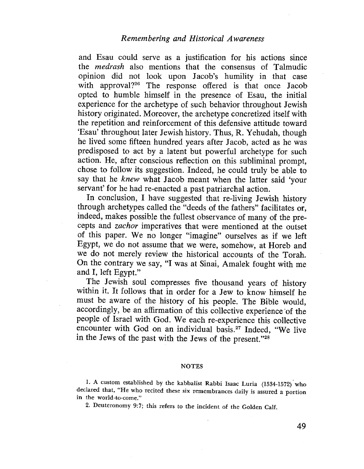## Remembering and Historical Awareness

and Esau could serve as a justification for his actions since the medrash also mentions that the consensus of Talmudic opinion did not look upon Jacob's humility in that case with approval?<sup>26</sup> The response offered is that once Jacob opted to humble himself in the presence of Esau, the initial experience for the archetype of such behavior throughout Jewish history originated. Moreover, the archetype concretized itself with the repetition and reinforcement of this defensive attitude toward 'Esau' throughout later Jewish history. Thus, R. Yehudah, though he lived some fifteen hundred years after Jacob, acted as he was predisposed to act by a latent but powerful archetype for such action. He, after conscious reflection on this subliminal prompt, chose to follow its suggestion. Indeed, he could truly be able to say that he knew what Jacob meant when the latter said 'your servant' for he had re-enacted a past patriarchal action.

In conclusion, I have suggested that re-living Jewish history through archetypes called the "deeds of the fathers" faciltates or, indeed, makes possible the fullest observance of many of the precepts and zachor imperatives that were mentioned at the outset of this paper. We no longer "imagine" ourselves as if we left Egypt, we do not assume that we were, somehow, at Horeb and we do not merely review the historical accounts of the Torah. On the contrary we say, "I was at Sinai, Amalek fought with me and I, left Egypt."

The Jewish soul compresses five thousand years of history within it. It follows that in order for a Jew to know himself he must be aware of the history of his people. The Bible would, accordingly, be an affrmation of this collective experience 'of the people of Israel with God. We each re-experience this collective encounter with God on an individual basis.<sup>27</sup> Indeed, "We live in the Jews of the past with the Jews of the present."28

#### NOTES

1. A custom established by the kabbalist Rabbi Isaac Luria (1534-1572) who declared that, "He who recited these six remembrances daily is assured a portion in the world-to-come."

2. Deuteronomy 9:7; this refers to the incident of the Golden Calf.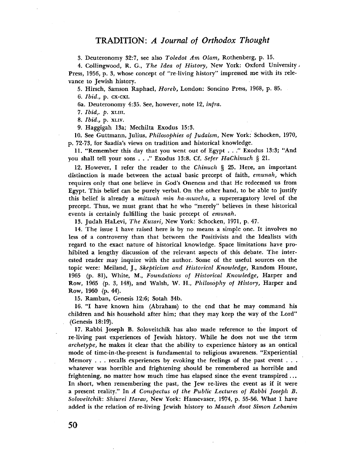## TRADITION: A Journal of Orthodox Thought

3. Deuteronomy 32:7, see also Toledot Am Olam, Rothenberg, p. 15.

4. Collingwood, R. G., The Idea of History, New York: Oxford University Press, 1956, p. 3, whose concept of "te-living history" impressed me with its relevance to Jewish history.

5. Hirsch, Samson Raphael, Horeb, London: Soncino Press, 1968, p. 85.

6. Ibid., p. CX-CXi.

6a. Deuteronomy 4:35. See, however, note 12, infra.

7. Ibid,. p. XLII.

8. *Ibid.*, p. XLIV.

9. Haggigah 13a; Mechilta Exodus 15:3.

10. See Guttmann, Julius, Philosophies of Judaism, New York: Schocken, 1970, p. 72-73. for Saadia's views on tradition and historical knowledge.

II. "Remember this day that you went out of Egypt. . ." Exodus 13:3; "And you shall tell your sons . . ." Exodus 13:8. Cf. Sefer HaChinuch § 21.

12. However, I refer the reader to the Chinuch  $\S$  25. Here, an important distinction is made between the actual basic precept of faith, emunah, which requires only that one believe in God's Oneness and that He redeemed us from Egypt. This belief can be purely verbaL. On the other hand, to be able to justify this belief is already a *mitzvah min ha-muvcha*, a supereragatory level of the precept. Thus, we must grant that he who "merely" believes in these historical events is certainly fulfilling the basic precept of emunah.

13. Judah HaLevi, The Kuzari, New York: Schocken, 1971, p. 47.

14. The issue I have raised here is by no means a simple one. It involves no less of a controversy than that between the Positivists and the Idealists with regard to the exact nature of historical knowledge. Space limitations have prohibited a lengthy discussion of the relevant aspects of this debate. The interested reader may inquire with the author. Some of the useful sources on the topic were: Meiland, j., Skepticism and Historical Knowledge, Random House, 1965 (p. 81), White, M., Foundations of Historical Knowledge, Harper and Row, 1965 (p. 3, 148), and Walsh, W. H., Philosophy of History, Harper and Row, 1960 (p.44).

15. Ramban, Genesis 12:6; Sotah 34b.

16. "I have known him (Abraham) to the end that he may command his children and his household after him; that they may keep the way of the Lord" (Genesis 18:19). . 17. Rabbi Joseph B. Soloveitchik has also made reference to the import of

re-living past experiences of Jewish history. While he does not use the term  $archetype$ , he makes it clear that the ability to experience history as an ontical mode of time-in-the-present is fundamental to religious awareness. "Experiential Memory . . . recalls experiences by evoking the feelings of the past event . . . whatever was horrible and frightening should be remembered as horrible and frightening, no matter how much time has elapsed since the event transpired... In short, when remembering the past, the Jew re-lives the event as if it were a present reality," In A Conspectus of the Public Lectures of Rabbi Joseph B. Soloveitchik: Shiurei Harav, New York: Hamevaser, 1974, p. 55-56. What I have added is the relation of re-living Jewish history to Maaseh Avot Simon Lebanim

50